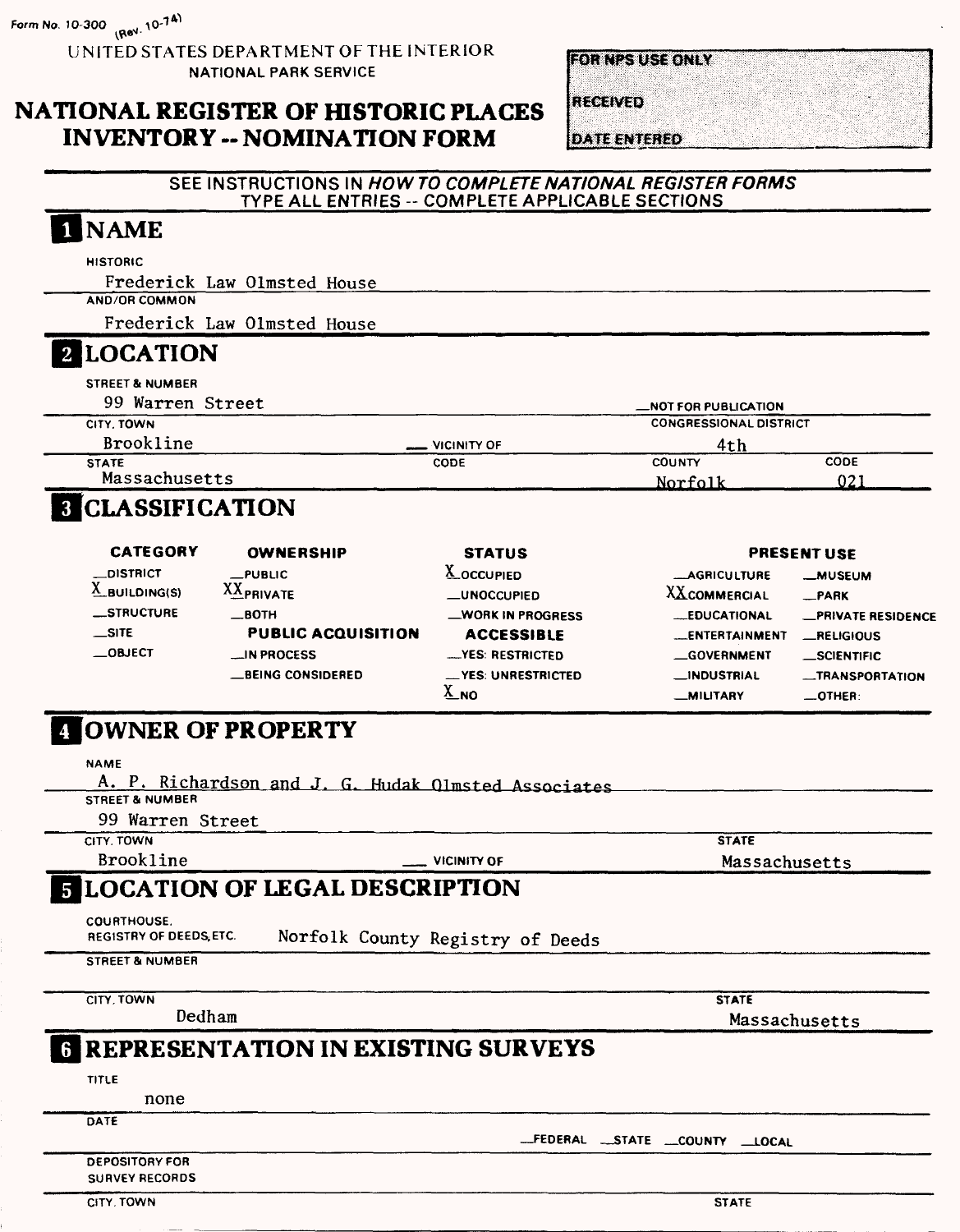$Form No. 10-300$   $\frac{1}{2}$   $(88)$ ,  $10^{-7}$ <sup>A)</sup>

UNITED STATES DEPARTMENT OF THE INTERIOR NATIONAL PARK SERVICE

## **NATIONAL REGISTER OF HISTORIC PLACES INVENTORY -- NOMINATION FORM**

**FOR NESTUSE ONLY** 

**RECEIVED** 

**DATE ENTERED** 

### **SEE INSTRUCTIONS IN HOW TO COMPLETE NATIONAL REGISTER FORMS**  TYPE ALL ENTRIES -- COMPLETE APPLICABLE SECTIONS

## [NAME

**HISTORIC**

Frederick Law Olmsted House

Frederick Law Olmsted House

## **2 LOCATION**

**AND/OR COMMON**

| <b>STREET &amp; NUMBER</b> |                    |                               |             |
|----------------------------|--------------------|-------------------------------|-------------|
| 99 Warren Street           |                    | <b>MOT FOR PUBLICATION</b>    |             |
| CITY. TOWN                 |                    | <b>CONGRESSIONAL DISTRICT</b> |             |
| <b>Brookline</b>           | <b>VICINITY OF</b> | 4th                           |             |
| <b>STATE</b>               | CODE               | <b>COUNTY</b>                 | <b>CODE</b> |
| Massachusetts              |                    | Norfolk                       | 021         |

## **CLASSIFICATION**

| <b>CATEGORY</b>      | <b>OWNERSHIP</b>          | <b>STATUS</b>      |                       | <b>PRESENT USE</b>        |
|----------------------|---------------------------|--------------------|-----------------------|---------------------------|
| __DISTRICT           | $\_$ PUBLIC               | <b>A_OCCUPIED</b>  | <b>MAGRICULTURE</b>   | <b>MUSEUM</b>             |
| $\Delta$ BUILDING(S) | <b>XXPRIVATE</b>          | _UNOCCUPIED        | XXCOMMERCIAL          | $-$ PARK                  |
| <b>STRUCTURE</b>     | $\_$ BOTH                 | WORK IN PROGRESS   | <b>EDUCATIONAL</b>    | <b>_PRIVATE RESIDENCE</b> |
| $\equiv$ SITE        | <b>PUBLIC ACQUISITION</b> | <b>ACCESSIBLE</b>  | <b>LENTERTAINMENT</b> | <b>__RELIGIOUS</b>        |
| $\equiv$ OBJECT      | $\equiv$ IN PROCESS       | -YES: RESTRICTED   | <b>GOVERNMENT</b>     | <b>SCIENTIFIC</b>         |
|                      | <b>_BEING CONSIDERED</b>  | -YES: UNRESTRICTED | <b>__INDUSTRIAL</b>   | -TRANSPORTATION           |
|                      |                           | $\Delta$ NO        | <b>__MILITARY</b>     | $\equiv$ OTHER:           |

## **OWNER OF PROPERTY**

**NAME**

A. P. Richardson and J. G. Hudak Olmsted Associates

**STREET & NUMBER**

99 Warren Street

**CITY. TOWN**

Brookline **VICINITY OF** 

**STATE** Massachusetts

#### **LOCATION OF LEGAL DESCRIPTION** 5.

COURTHOUSE.

REGISTRY OF DEEDS, ETC. Norfolk County Registry of Deeds

**STREET & NUMBER** 

**CITY. TOWN**

Dedham

**STATE** Massachusetts

## **REPRESENTATION IN EXISTING SURVEYS**

**TITLE**

none

**DATE** 

**FEDERAL \_STATE —COUNTY LOCAL**

**DEPOSITORY FOR SURVEY RECORDS**

**CITY. TOWN STATE**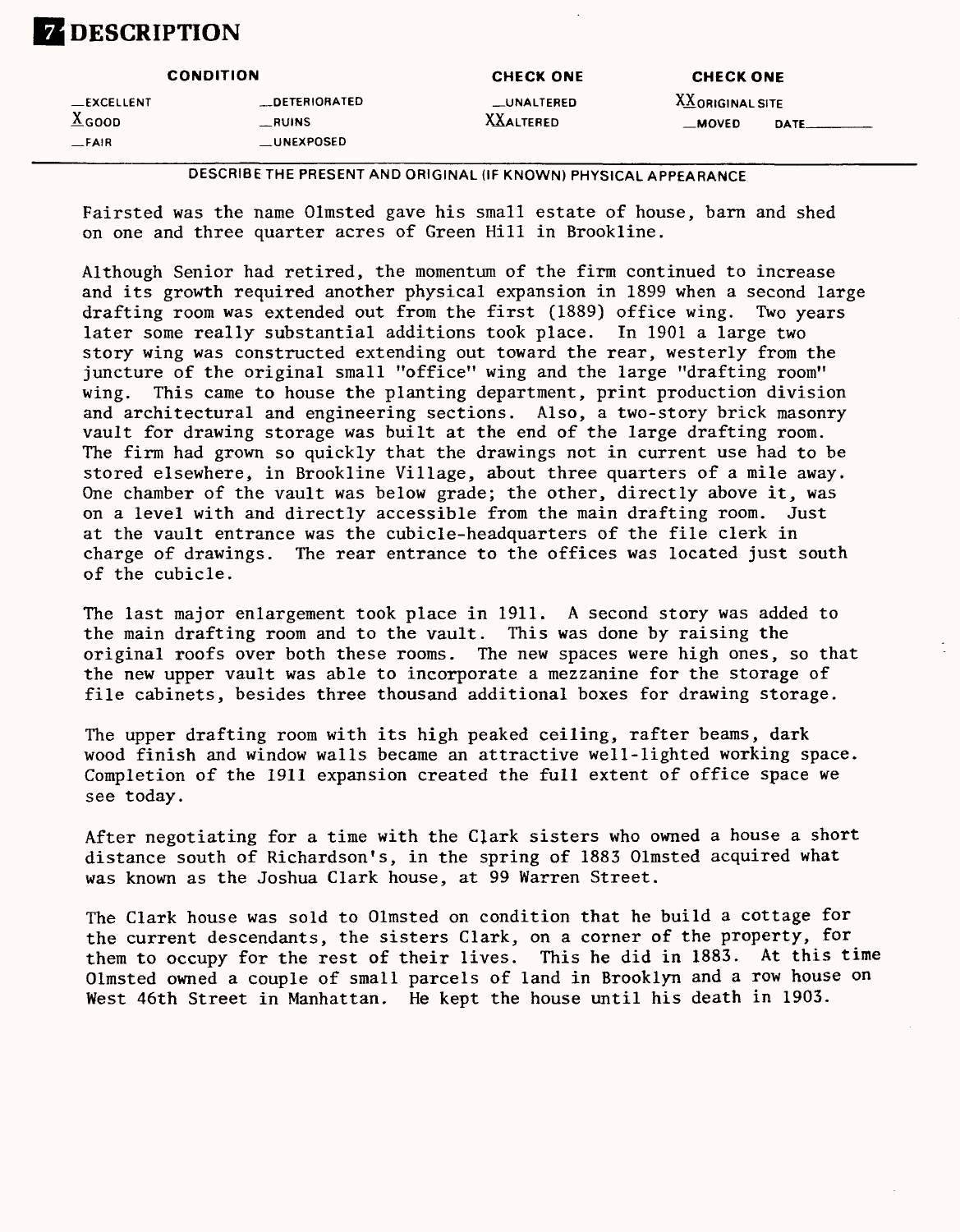## **DESCRIPTION**

|                    | <b>CONDITION</b>    | <b>CHECK ONE</b> | <b>CHECK ONE</b> |      |
|--------------------|---------------------|------------------|------------------|------|
| <b>__EXCELLENT</b> | <b>DETERIORATED</b> | __UNALTERED      | XX ORIGINAL SITE |      |
| $\triangle$ GOOD   | <b>__RUINS</b>      | <b>XXALTERED</b> | <b>MOVED</b>     | DATE |
| $-FAIR$            | <b>LUNEXPOSED</b>   |                  |                  |      |

### **DESCRIBE THE PRESENT AND ORIGINAL (IF KNOWN) PHYSICAL APPEARANCE**

Fairsted was the name Olmsted gave his small estate of house, barn and shed on one and three quarter acres of Green Hill in Brookline.

Although Senior had retired, the momentum of the firm continued to increase and its growth required another physical expansion in 1899 when a second large drafting room was extended out from the first (1889) office wing. Two years later some really substantial additions took place. In 1901 a large two story wing was constructed extending out toward the rear, westerly from the juncture of the original small "office" wing and the large "drafting room" wing. This came to house the planting department, print production division and architectural and engineering sections. Also, a two-story brick masonry vault for drawing storage was built at the end of the large drafting room. The firm had grown so quickly that the drawings not in current use had to be stored elsewhere, in Brookline Village, about three quarters of a mile away. One chamber of the vault was below grade; the other, directly above it, was on a level with and directly accessible from the main drafting room. Just at the vault entrance was the cubicle-headquarters of the file clerk in charge of drawings. The rear entrance to the offices was located just south of the cubicle.

The last major enlargement took place in 1911. A second story was added to the main drafting room and to the vault. This was done by raising the original roofs over both these rooms. The new spaces were high ones, so that the new upper vault was able to incorporate a mezzanine for the storage of file cabinets, besides three thousand additional boxes for drawing storage.

The upper drafting room with its high peaked ceiling, rafter beams, dark wood finish and window walls became an attractive well-lighted working space. Completion of the 1911 expansion created the full extent of office space we see today.

After negotiating for a time with the Clark sisters who owned a house a short distance south of Richardson's, in the spring of 1883 Olmsted acquired what was known as the Joshua Clark house, at 99 Warren Street.

The Clark house was sold to Olmsted on condition that he build a cottage for the current descendants, the sisters Clark, on a corner of the property, for them to occupy for the rest of their lives. This he did in 1883. At this time Olmsted owned a couple of small parcels of land in Brooklyn and a row house on West 46th Street in Manhattan. He kept the house until his death in 1903.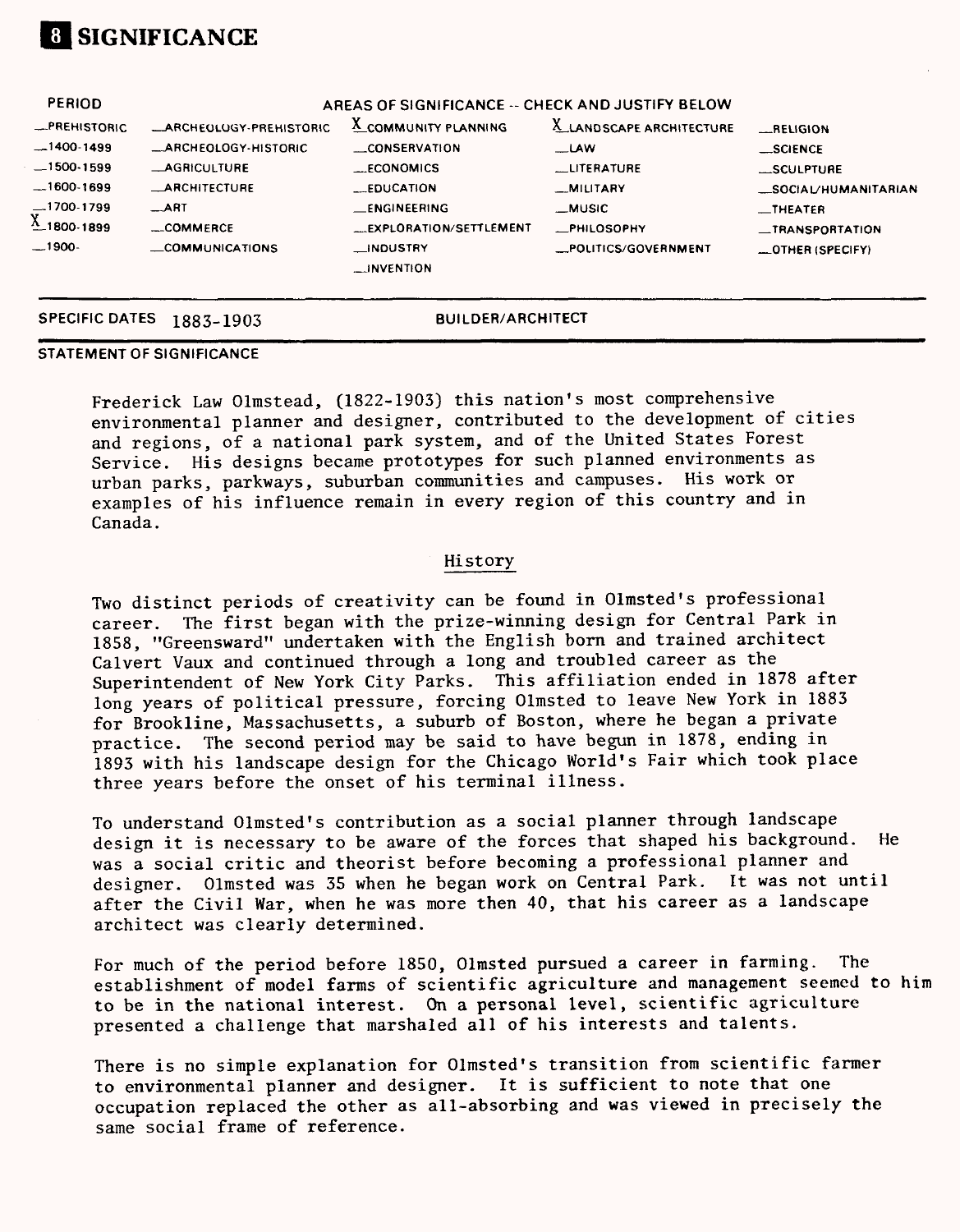

| <b>_ARCHEOLOGY-PREHISTORIC</b> | <b>A_COMMUNITY PLANNING</b> | X_LANDSCAPE ARCHITECTURE | <b>ELIGION</b>                                   |
|--------------------------------|-----------------------------|--------------------------|--------------------------------------------------|
| -ARCHEOLOGY-HISTORIC           | CONSERVATION                | <b>LAW</b>               | _SCIENCE                                         |
| <b>AGRICULTURE</b>             | __ECONOMICS                 | LITERATURE               | SCULPTURE                                        |
| <b>_ARCHITECTURE</b>           | <b>EDUCATION</b>            | -MILITARY                | _SOCIAL/HUMANITARIAN                             |
| $-$ ART                        | <b>ENGINEERING</b>          | __MUSIC                  | $\equiv$ THEATER                                 |
| $-$ COMMERCE                   | EXPLORATION/SETTLEMENT      | <b>PHILOSOPHY</b>        | _TRANSPORTATION                                  |
| <b>COMMUNICATIONS</b>          | __INDUSTRY<br>__INVENTION   | _POLITICS/GOVERNMENT     | _OTHER (SPECIFY)                                 |
|                                |                             |                          | AREAS OF SIGNIFICANCE -- CHECK AND JUSTIFY BELOW |

# **STATEMENT OF SIGNIFICANCE**

**SPECIFIC DATES 1883-1903 BUILDER/ARCHITECT**

### Frederick Law Olmstead, (1822-1903) this nation's most comprehensive environmental planner and designer, contributed to the development of cities and regions, of a national park system, and of the United States Forest Service. His designs became prototypes for such planned environments as urban parks, parkways, suburban communities and campuses. His work or examples of his influence remain in every region of this country and in Canada.

### History

Two distinct periods of creativity can be found in Olmsted's professional career. The first began with the prize-winning design for Central Park in 1858, "Greensward" undertaken with the English born and trained architect Calvert Vaux and continued through a long and troubled career as the Superintendent of New York City Parks. This affiliation ended in 1878 after long years of political pressure, forcing Olmsted to leave New York in 1883 for Brookline, Massachusetts, a suburb of Boston, where he began a private practice. The second period may be said to have begun in 1878, ending in 1893 with his landscape design for the Chicago World's Fair which took place three years before the onset of his terminal illness.

To understand Olmsted's contribution as a social planner through landscape design it is necessary to be aware of the forces that shaped his background. He was a social critic and theorist before becoming a professional planner and designer. Olmsted was 35 when he began work on Central Park. It was not until after the Civil War, when he was more then 40, that his career as a landscape architect was clearly determined.

For much of the period before 1850, Olmsted pursued a career in farming. The establishment of model farms of scientific agriculture and management seemed to him to be in the national interest. On a personal level, scientific agriculture presented a challenge that marshaled all of his interests and talents.

There is no simple explanation for Olmsted's transition from scientific farmer to environmental planner and designer. It is sufficient to note that one occupation replaced the other as all-absorbing and was viewed in precisely the same social frame of reference.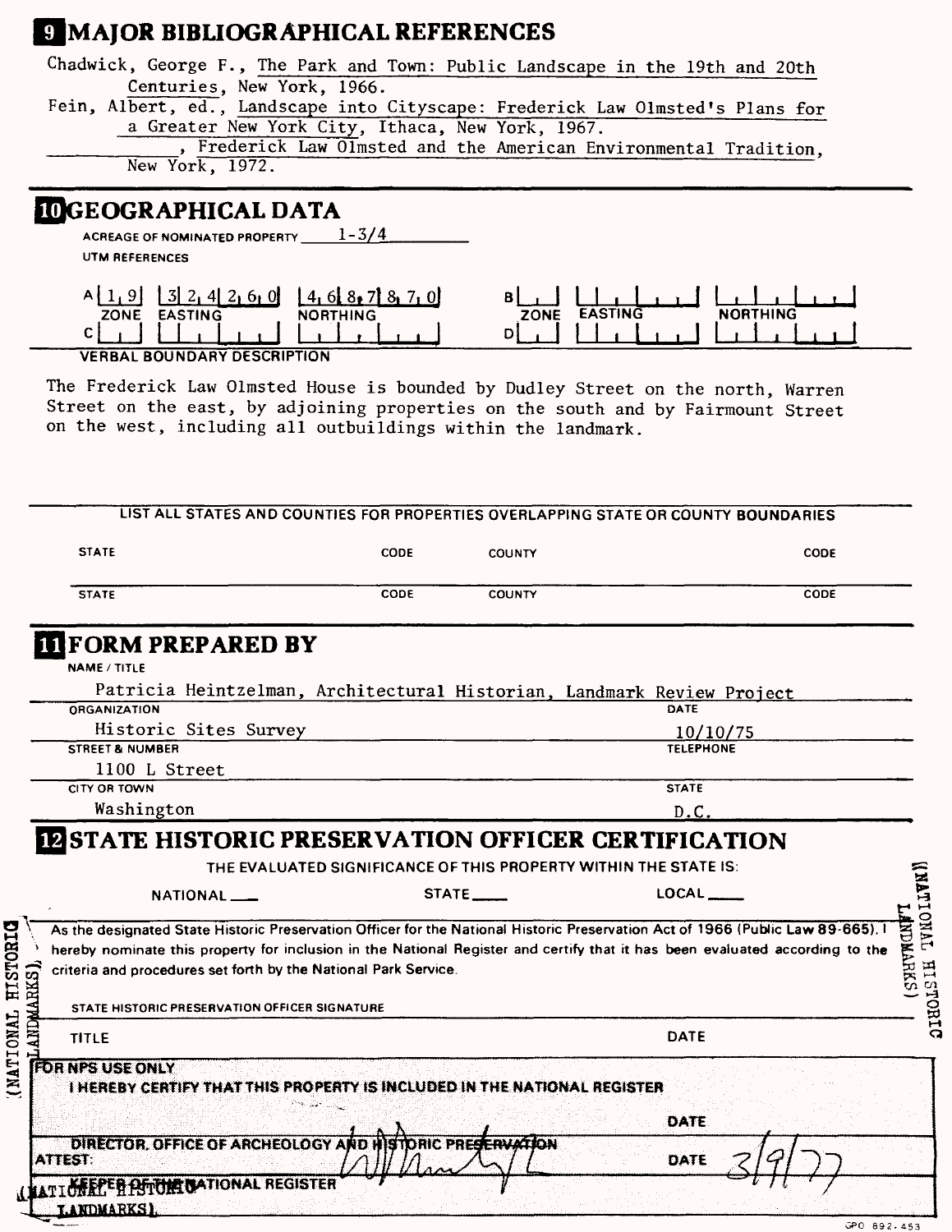## **EJMAJOR BIBLIOGRAPHICAL REFERENCES**

| Centuries, New York, 1966.<br>a Greater New York City, Ithaca, New York, 1967.<br>Frederick Law Olmsted and the American Environmental Tradition. | Chadwick, George F., The Park and Town: Public Landscape in the 19th and 20th  |
|---------------------------------------------------------------------------------------------------------------------------------------------------|--------------------------------------------------------------------------------|
|                                                                                                                                                   |                                                                                |
|                                                                                                                                                   | Fein, Albert, ed., Landscape into Cityscape: Frederick Law Olmsted's Plans for |
|                                                                                                                                                   |                                                                                |
|                                                                                                                                                   |                                                                                |
|                                                                                                                                                   | New York, 1972.                                                                |
|                                                                                                                                                   | <b>IOGEOGRAPHICAL DATA</b>                                                     |
|                                                                                                                                                   |                                                                                |

**ACREAGE OF NOMINATED PROPERTY 1-3/4**

**UTM REFERENCES**

| <b>ZONE</b><br><b>EASTING</b><br><b>NORTHING</b>              | <b>ZONE</b> | ruinic |
|---------------------------------------------------------------|-------------|--------|
|                                                               |             |        |
| $1.000 - 1.0000$ $0.0000$ $0.0000$ $0.0000$ $0.0000$ $0.0000$ |             |        |

**VERBAL BOUNDARY DESCRIPTION**

The Frederick Law Olmsted House is bounded by Dudley Street on the north, Warren Street on the east, by adjoining properties on the south and by Fairmount Street on the west, including all outbuildings within the landmark.

| <b>STATE</b>                                                                                                     | CODE                                                             | <b>COUNTY</b> | <b>CODE</b>                                                                                                                                                                                                                                                     |
|------------------------------------------------------------------------------------------------------------------|------------------------------------------------------------------|---------------|-----------------------------------------------------------------------------------------------------------------------------------------------------------------------------------------------------------------------------------------------------------------|
| <b>STATE</b>                                                                                                     | CODE                                                             | <b>COUNTY</b> | CODE                                                                                                                                                                                                                                                            |
| <b>TIFORM PREPARED BY</b>                                                                                        |                                                                  |               |                                                                                                                                                                                                                                                                 |
| NAME / TITLE                                                                                                     |                                                                  |               |                                                                                                                                                                                                                                                                 |
|                                                                                                                  |                                                                  |               | Patricia Heintzelman, Architectural Historian, Landmark Review Project                                                                                                                                                                                          |
| <b>ORGANIZATION</b>                                                                                              |                                                                  |               | DATE                                                                                                                                                                                                                                                            |
| Historic Sites Survey                                                                                            |                                                                  |               | 10/10/75                                                                                                                                                                                                                                                        |
| <b>STREET &amp; NUMBER</b>                                                                                       |                                                                  |               | <b>TELEPHONE</b>                                                                                                                                                                                                                                                |
| 1100 L Street                                                                                                    |                                                                  |               |                                                                                                                                                                                                                                                                 |
| CITY OR TOWN                                                                                                     |                                                                  |               | <b>STATE</b>                                                                                                                                                                                                                                                    |
| Washington                                                                                                       |                                                                  |               | D.C.                                                                                                                                                                                                                                                            |
|                                                                                                                  | THE EVALUATED SIGNIFICANCE OF THIS PROPERTY WITHIN THE STATE IS: | STATE ______  | <b>IN STATE HISTORIC PRESERVATION OFFICER CERTIFICATION</b><br>LOCAL                                                                                                                                                                                            |
| NATIONAL <sub>-</sub>                                                                                            |                                                                  |               | As the designated State Historic Preservation Officer for the National Historic Preservation Act of 1966 (Public Law 89-665). I<br>hereby nominate this property for inclusion in the National Register and certify that it has been evaluated according to the |
| criteria and procedures set forth by the National Park Service.<br>STATE HISTORIC PRESERVATION OFFICER SIGNATURE |                                                                  |               |                                                                                                                                                                                                                                                                 |
| <b>ANDMARKS</b><br><b>TITLE</b>                                                                                  |                                                                  |               | <b>DATE</b>                                                                                                                                                                                                                                                     |
| <b>FOR NPS USE ONLY</b><br><b>THEREBY CERTIFY THAT THIS PROPERTY IS INCLUDED IN THE NATIONAL REGISTER</b>        |                                                                  |               | <b>DATE</b>                                                                                                                                                                                                                                                     |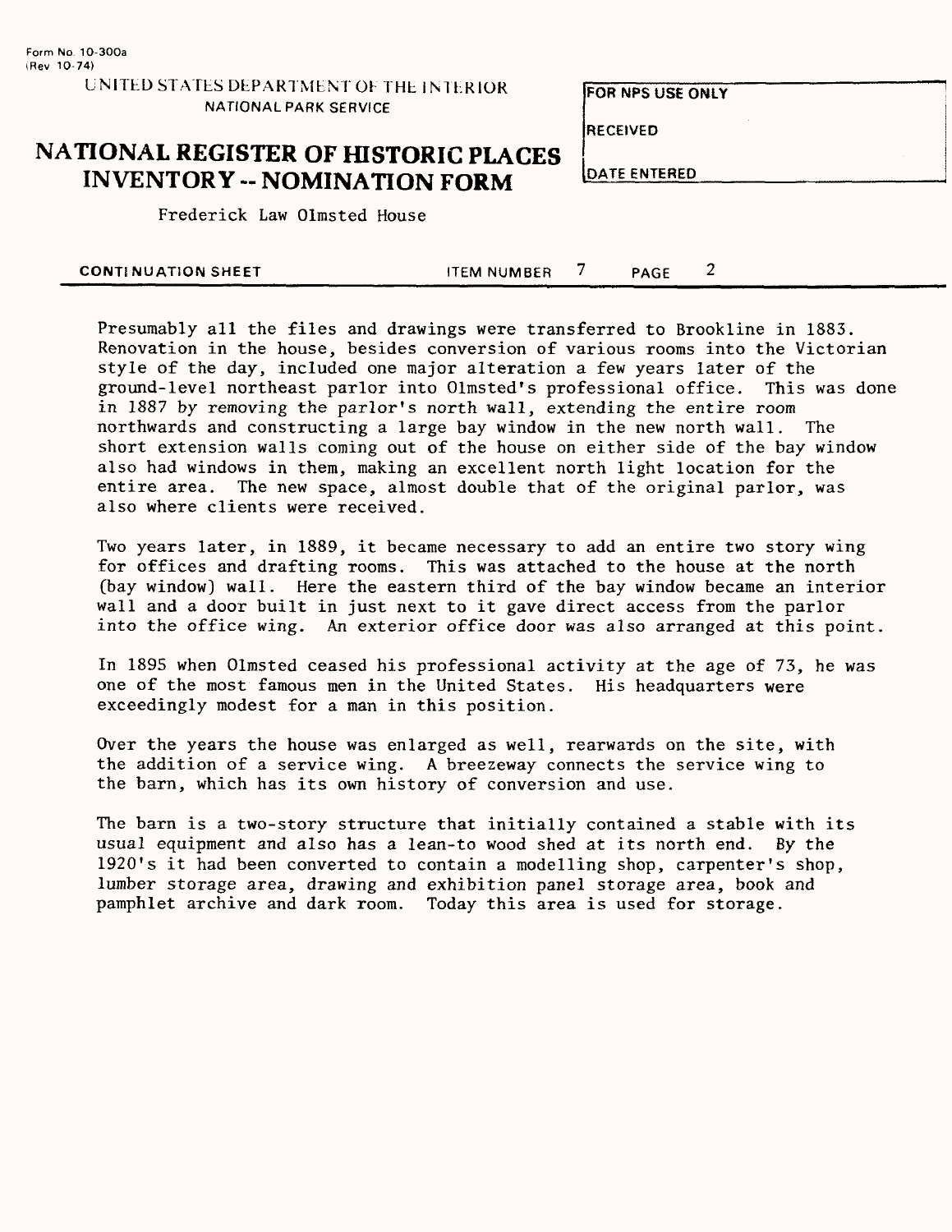### UNITED STATES DEPARTMENT OF THE INTERIOR FOR NPS USE ONLY NATIONAL PARK SERVICE

RECEIVED

## **NATIONAL REGISTER OF HISTORIC PLACES INVENTORY -- NOMINATION FORM**

Frederick Law Olmsted House

|  | DATE ENTERED |  |  |  |  |
|--|--------------|--|--|--|--|
|  |              |  |  |  |  |

**CONTINUATION SHEET ITEM NUMBER** 7 **PAGE** 2

Presumably all the files and drawings were transferred to Brookline in 1883. Renovation in the house, besides conversion of various rooms into the Victorian style of the day, included one major alteration a few years later of the ground-level northeast parlor into Olmsted's professional office. This was done in 1887 by removing the parlor's north wall, extending the entire room northwards and constructing a large bay window in the new north wall. The short extension walls coming out of the house on either side of the bay window also had windows in them, making an excellent north light location for the entire area. The new space, almost double that of the original parlor, was also where clients were received.

Two years later, in 1889, it became necessary to add an entire two story wing for offices and drafting rooms. This was attached to the house at the north (bay window) wall. Here the eastern third of the bay window became an interior wall and a door built in just next to it gave direct access from the parlor into the office wing. An exterior office door was also arranged at this point.

In 1895 when Olmsted ceased his professional activity at the age of 73, he was one of the most famous men in the United States. His headquarters were exceedingly modest for a man in this position.

Over the years the house was enlarged as well, rearwards on the site, with the addition of a service wing. A breezeway connects the service wing to the barn, which has its own history of conversion and use.

The barn is a two-story structure that initially contained a stable with its usual equipment and also has a lean-to wood shed at its north end. By the 1920"s it had been converted to contain a modelling shop, carpenter's shop, lumber storage area, drawing and exhibition panel storage area, book and pamphlet archive and dark room. Today this area is used for storage.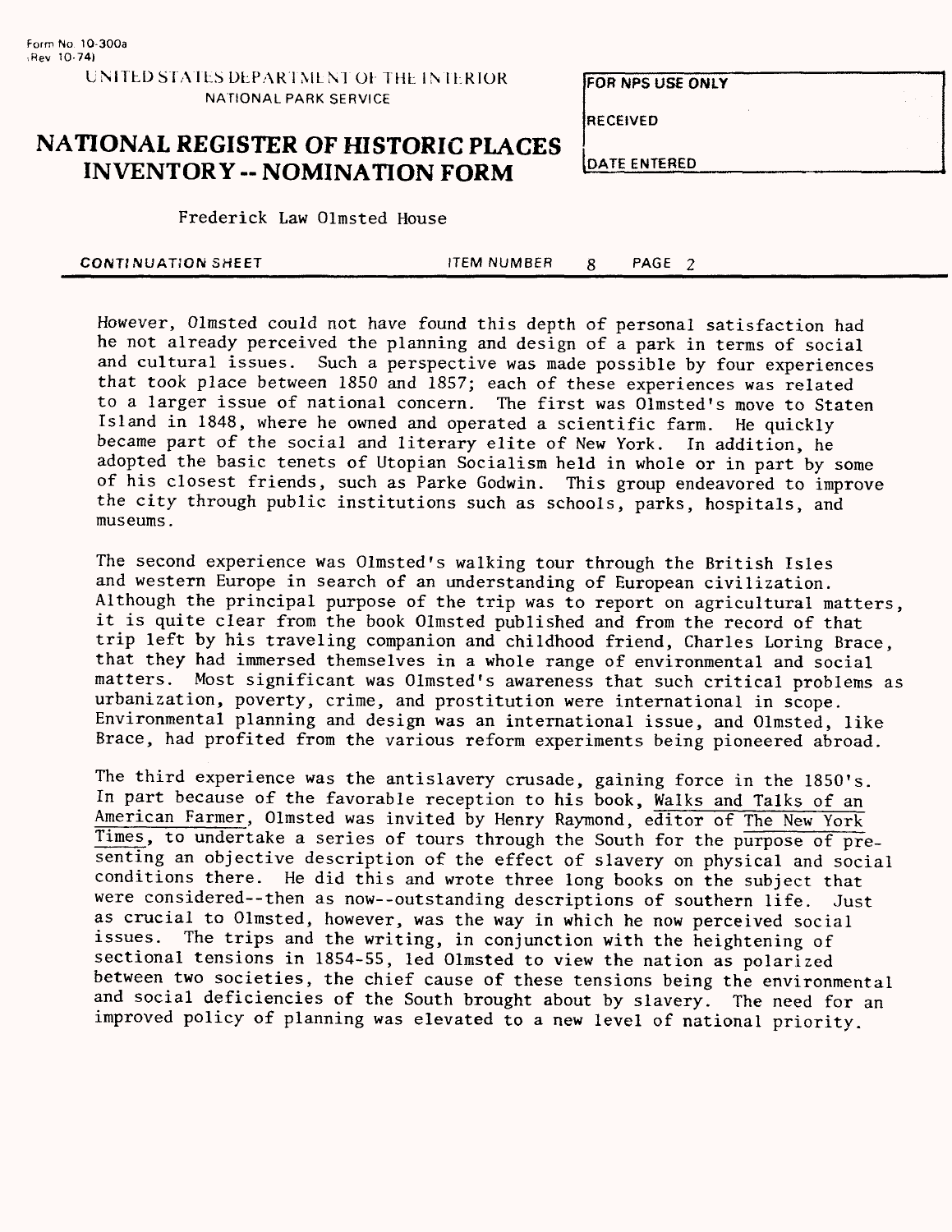**RECEIVED**

## **NATIONAL REGISTER OF HISTORIC PLACES INVENTORY -- NOMINATION FORM DATE ENTERED**

Frederick Law Olmsted House

| <b>CONTINUATION SHEET</b> | <b>ITEM NUMBER</b> | PAGE |  |
|---------------------------|--------------------|------|--|
|                           |                    |      |  |

However, Olmsted could not have found this depth of personal satisfaction had he not already perceived the planning and design of a park in terms of social and cultural issues. Such a perspective was made possible by four experiences that took place between 1850 and 1857; each of these experiences was related to a larger issue of national concern. The first was Olmsted's move to Staten Island in 1848, where he owned and operated a scientific farm. He quickly became part of the social and literary elite of New York. In addition, he adopted the basic tenets of Utopian Socialism held in whole or in part by some of his closest friends, such as Parke Godwin. This group endeavored to improve the city through public institutions such as schools, parks, hospitals, and museums.

The second experience was Olmsted's walking tour through the British Isles and western Europe in search of an understanding of European civilization. Although the principal purpose of the trip was to report on agricultural matters, it is quite clear from the book Olmsted published and from the record of that trip left by his traveling companion and childhood friend, Charles Loring Brace, that they had immersed themselves in a whole range of environmental and social matters. Most significant was Olmsted's awareness that such critical problems as urbanization, poverty, crime, and prostitution were international in scope. Environmental planning and design was an international issue, and Olmsted, like Brace, had profited from the various reform experiments being pioneered abroad.

The third experience was the antislavery crusade, gaining force in the 1850's. In part because of the favorable reception to his book, Walks and Talks of an American Farmer, Olmsted was invited by Henry Raymond, editor of The New York Times, to undertake a series of tours through the South for the purpose of presenting an objective description of the effect of slavery on physical and social conditions there. He did this and wrote three long books on the subject that were considered--then as now--outstanding descriptions of southern life. Just as crucial to Olmsted, however, was the way in which he now perceived social<br>issues. The trips and the writing, in conjunction with the beightening of The trips and the writing, in conjunction with the heightening of sectional tensions in 1854-55, led Olmsted to view the nation as polarized between two societies, the chief cause of these tensions being the environmental and social deficiencies of the South brought about by slavery. The need for an improved policy of planning was elevated to a new level of national priority.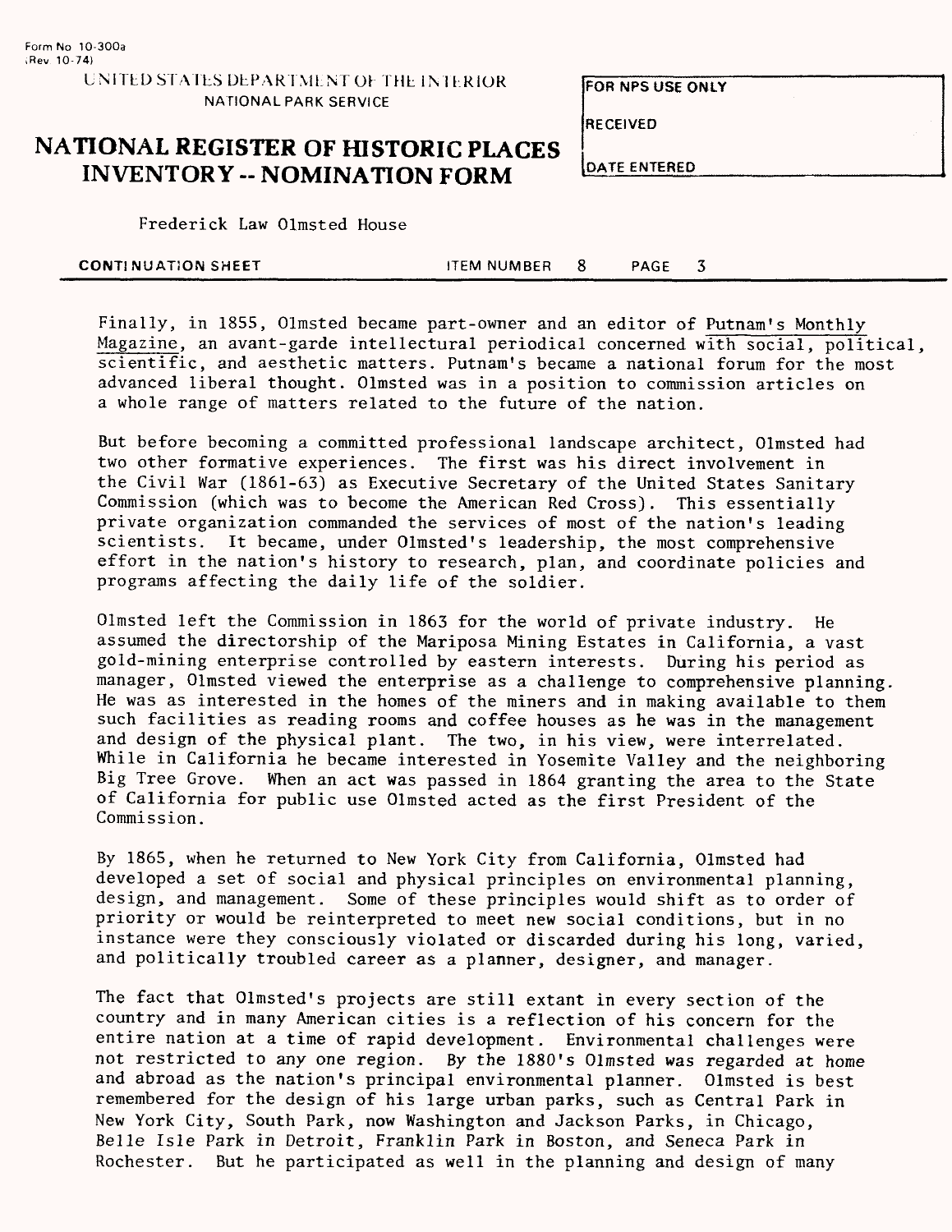**FOR NFS USE ONLY**

RECEIVED

## **NATIONAL REGISTER OF HISTORIC PLACES INVENTORY -- NOMINATION FORM**

DATE ENTERED

Frederick Law Olmsted House

| <b>CONTINUATION SHEET</b> | ITEM NUMBER 8 |  | PAGE |  |
|---------------------------|---------------|--|------|--|
|---------------------------|---------------|--|------|--|

Finally, in 1855, Olmsted became part-owner and an editor of Putnam's Monthly Magazine, an avant-garde intellectural periodical concerned with social, political, scientific, and aesthetic matters. Putnam's became a national forum for the most advanced liberal thought. Olmsted was in a position to commission articles on a whole range of matters related to the future of the nation.

But before becoming a committed professional landscape architect, Olmsted had two other formative experiences. The first was his direct involvement in the Civil War (1861-63) as Executive Secretary of the United States Sanitary Commission (which was to become the American Red Cross). This essentially private organization commanded the services of most of the nation's leading scientists. It became, under Olmsted's leadership, the most comprehensive effort in the nation's history to research, plan, and coordinate policies and programs affecting the daily life of the soldier.

Olmsted left the Commission in 1863 for the world of private industry. He assumed the directorship of the Mariposa Mining Estates in California, a vast gold-mining enterprise controlled by eastern interests. During his period as manager, Olmsted viewed the enterprise as a challenge to comprehensive planning. He was as interested in the homes of the miners and in making available to them such facilities as reading rooms and coffee houses as he was in the management and design of the physical plant. The two, in his view, were interrelated. While in California he became interested in Yosemite Valley and the neighboring Big Tree Grove. When an act was passed in 1864 granting the area to the State of California for public use Olmsted acted as the first President of the Commission.

By 1865, when he returned to New York City from California, Olmsted had developed a set of social and physical principles on environmental planning, design, and management. Some of these principles would shift as to order of priority or would be reinterpreted to meet new social conditions, but in no instance were they consciously violated or discarded during his long, varied, and politically troubled career as a planner, designer, and manager.

The fact that Olmsted's projects are still extant in every section of the country and in many American cities is a reflection of his concern for the entire nation at a time of rapid development. Environmental challenges were not restricted to any one region. By the 1880's Olmsted was regarded at home and abroad as the nation's principal environmental planner. Olmsted is best remembered for the design of his large urban parks, such as Central Park in New York City, South Park, now Washington and Jackson Parks, in Chicago, Belle Isle Park in Detroit, Franklin Park in Boston, and Seneca Park in Rochester. But he participated as well in the planning and design of many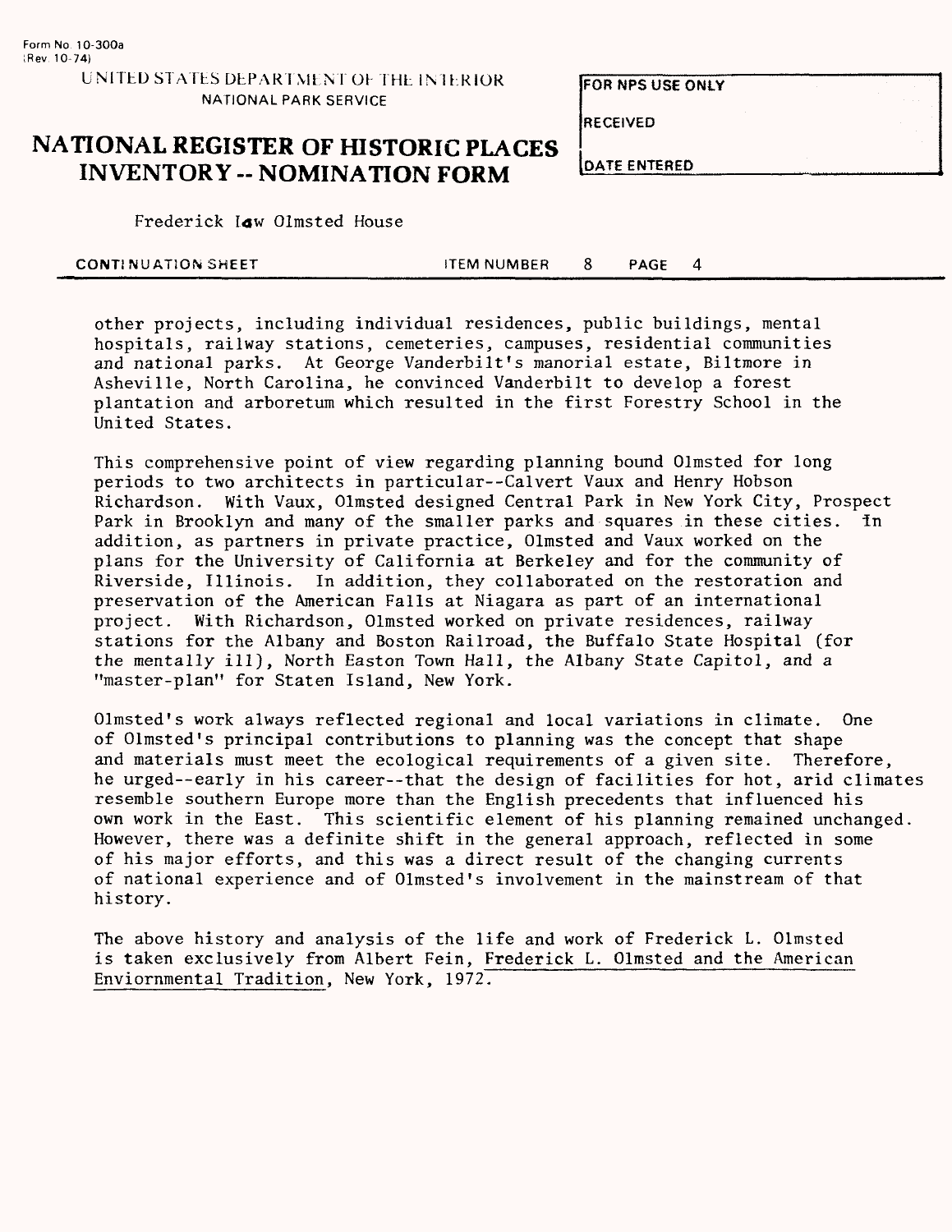**FOR NPS USE ONLY**

RECEIVED

## **NATIONAL REGISTER OF HISTORIC PLACES** INVENTORY -- NOMINATION FORM  $\frac{15}{100}$

| )ATE ENTERED |  |
|--------------|--|
|              |  |

Frederick law Olmsted House

| <b>CONTINUATION SHEET</b> | ITEM NUMBER | PAGE |  |
|---------------------------|-------------|------|--|
|                           |             |      |  |

other projects, including individual residences, public buildings, mental hospitals, railway stations, cemeteries, campuses, residential communities and national parks. At George Vanderbilt's manorial estate, Biltmore in Asheville, North Carolina, he convinced Vanderbilt to develop a forest plantation and arboretum which resulted in the first Forestry School in the United States.

This comprehensive point of view regarding planning bound Olmsted for long periods to two architects in particular--Calvert Vaux and Henry Hobson Richardson. With Vaux, Olmsted designed Central Park in New York City, Prospect Park in Brooklyn and many of the smaller parks and squares in these cities. In addition, as partners in private practice, Olmsted and Vaux worked on the plans for the University of California at Berkeley and for the community of Riverside, Illinois. In addition, they collaborated on the restoration and preservation of the American Falls at Niagara as part of an international project. With Richardson, Olmsted worked on private residences, railway stations for the Albany and Boston Railroad, the Buffalo State Hospital (for the mentally ill), North Easton Town Hall, the Albany State Capitol, and a "master-plan" for Staten Island, New York.

Olmsted's work always reflected regional and local variations in climate. One of Olmsted's principal contributions to planning was the concept that shape and materials must meet the ecological requirements of a given site. Therefore, he urged--early in his career—that the design of facilities for hot, arid climates resemble southern Europe more than the English precedents that influenced his own work in the East. This scientific element of his planning remained unchanged. However, there was a definite shift in the general approach, reflected in some of his major efforts, and this was a direct result of the changing currents of national experience and of Olmsted's involvement in the mainstream of that history.

The above history and analysis of the life and work of Frederick L. Olmsted is taken exclusively from Albert Fein, Frederick L. Olmsted and the American Enviornmental Tradition, New York, 1972.